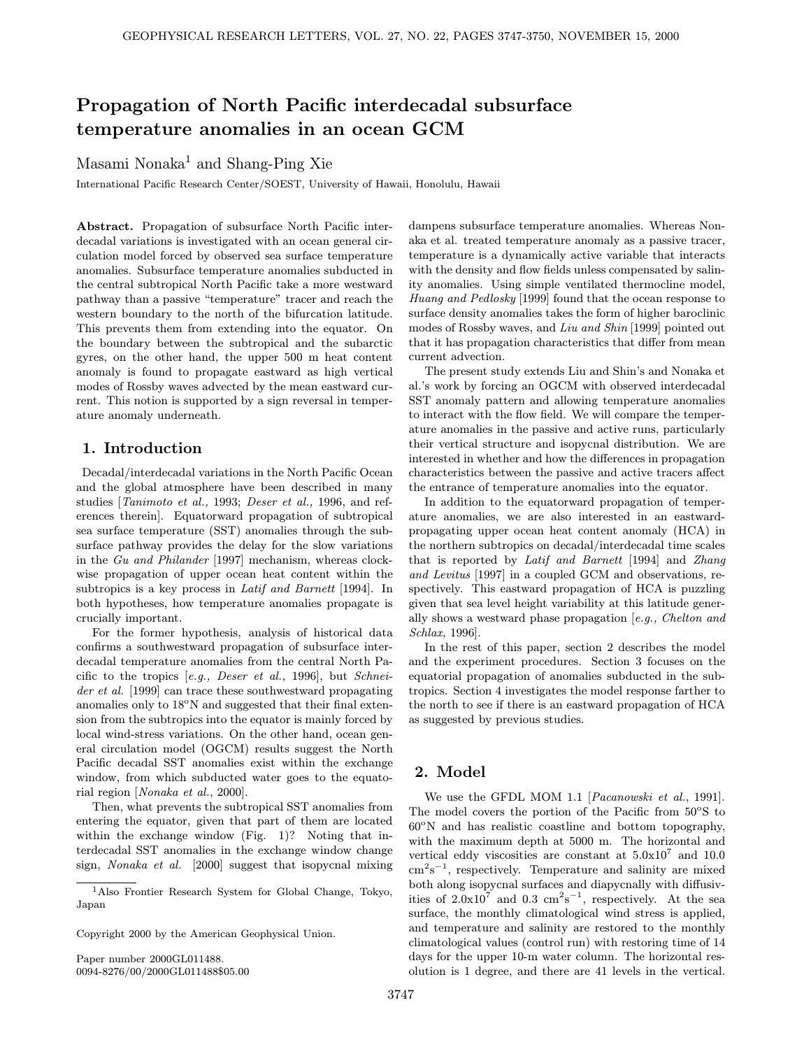# Propagation of North Pacific interdecadal subsurface temperature anomalies in an ocean GCM

Masami Nonaka<sup>1</sup> and Shang-Ping Xie

International Pacific Research Center/SOEST, University of Hawaii, Honolulu, Hawaii

Abstract. Propagation of subsurface North Pacific interdecadal variations is investigated with an ocean general circulation model forced by observed sea surface temperature anomalies. Subsurface temperature anomalies subducted in the central subtropical North Pacific take a more westward pathway than a passive "temperature" tracer and reach the western boundary to the north of the bifurcation latitude. This prevents them from extending into the equator. On the boundary between the subtropical and the subarctic gyres, on the other hand, the upper 500 m heat content anomaly is found to propagate eastward as high vertical modes of Rossby waves advected by the mean eastward current. This notion is supported by a sign reversal in temperature anomaly underneath.

### 1. Introduction

Decadal/interdecadal variations in the North Pacific Ocean and the global atmosphere have been described in many studies [Tanimoto et al., 1993; Deser et al., 1996, and references therein]. Equatorward propagation of subtropical sea surface temperature (SST) anomalies through the subsurface pathway provides the delay for the slow variations in the Gu and Philander [1997] mechanism, whereas clockwise propagation of upper ocean heat content within the subtropics is a key process in Latif and Barnett [1994]. In both hypotheses, how temperature anomalies propagate is crucially important.

For the former hypothesis, analysis of historical data confirms a southwestward propagation of subsurface interdecadal temperature anomalies from the central North Pacific to the tropics [e.g., Deser et al., 1996], but Schneider et al. [1999] can trace these southwestward propagating anomalies only to  $18^{\circ}$ N and suggested that their final extension from the subtropics into the equator is mainly forced by local wind-stress variations. On the other hand, ocean general circulation model (OGCM) results suggest the North Pacific decadal SST anomalies exist within the exchange window, from which subducted water goes to the equatorial region [Nonaka et al., 2000].

Then, what prevents the subtropical SST anomalies from entering the equator, given that part of them are located within the exchange window (Fig. 1)? Noting that interdecadal SST anomalies in the exchange window change sign, Nonaka et al. [2000] suggest that isopycnal mixing

Copyright 2000 by the American Geophysical Union.

Paper number 2000GL011488. 0094-8276/00/2000GL011488\$05.00 dampens subsurface temperature anomalies. Whereas Nonaka et al. treated temperature anomaly as a passive tracer, temperature is a dynamically active variable that interacts with the density and flow fields unless compensated by salinity anomalies. Using simple ventilated thermocline model, Huang and Pedlosky [1999] found that the ocean response to surface density anomalies takes the form of higher baroclinic modes of Rossby waves, and Liu and Shin [1999] pointed out that it has propagation characteristics that differ from mean current advection.

The present study extends Liu and Shin's and Nonaka et al.'s work by forcing an OGCM with observed interdecadal SST anomaly pattern and allowing temperature anomalies to interact with the flow field. We will compare the temperature anomalies in the passive and active runs, particularly their vertical structure and isopycnal distribution. We are interested in whether and how the differences in propagation characteristics between the passive and active tracers affect the entrance of temperature anomalies into the equator.

In addition to the equatorward propagation of temperature anomalies, we are also interested in an eastwardpropagating upper ocean heat content anomaly (HCA) in the northern subtropics on decadal/interdecadal time scales that is reported by Latif and Barnett [1994] and Zhang and Levitus [1997] in a coupled GCM and observations, respectively. This eastward propagation of HCA is puzzling given that sea level height variability at this latitude generally shows a westward phase propagation [e.g., Chelton and Schlax, 1996].

In the rest of this paper, section 2 describes the model and the experiment procedures. Section 3 focuses on the equatorial propagation of anomalies subducted in the subtropics. Section 4 investigates the model response farther to the north to see if there is an eastward propagation of HCA as suggested by previous studies.

## 2. Model

We use the GFDL MOM 1.1 [Pacanowski et al., 1991]. The model covers the portion of the Pacific from  $50^{\circ}$ S to  $60^{\circ}$ N and has realistic coastline and bottom topography, with the maximum depth at 5000 m. The horizontal and vertical eddy viscosities are constant at  $5.0x10<sup>7</sup>$  and  $10.0$ cm<sup>2</sup>s <sup>−</sup><sup>1</sup>, respectively. Temperature and salinity are mixed both along isopycnal surfaces and diapycnally with diffusivities of  $2.0 \times 10^7$  and  $0.3 \text{ cm}^2 \text{s}^{-1}$ , respectively. At the sea surface, the monthly climatological wind stress is applied, and temperature and salinity are restored to the monthly climatological values (control run) with restoring time of 14 days for the upper 10-m water column. The horizontal resolution is 1 degree, and there are 41 levels in the vertical.

<sup>1</sup>Also Frontier Research System for Global Change, Tokyo, Japan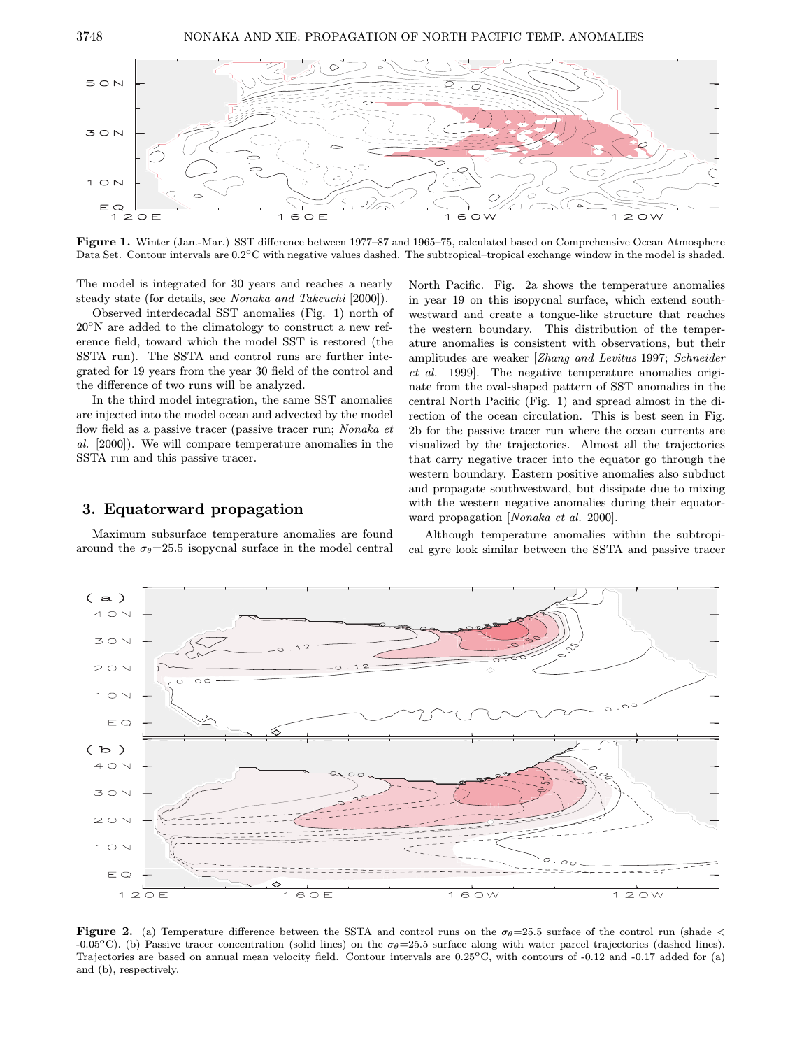

Figure 1. Winter (Jan.-Mar.) SST difference between 1977–87 and 1965–75, calculated based on Comprehensive Ocean Atmosphere Data Set. Contour intervals are  $0.2^{\circ}\text{C}$  with negative values dashed. The subtropical–tropical exchange window in the model is shaded.

The model is integrated for 30 years and reaches a nearly steady state (for details, see Nonaka and Takeuchi [2000]).

Observed interdecadal SST anomalies (Fig. 1) north of  $20^{\circ}$ N are added to the climatology to construct a new reference field, toward which the model SST is restored (the SSTA run). The SSTA and control runs are further integrated for 19 years from the year 30 field of the control and the difference of two runs will be analyzed.

In the third model integration, the same SST anomalies are injected into the model ocean and advected by the model flow field as a passive tracer (passive tracer run; Nonaka et al. [2000]). We will compare temperature anomalies in the SSTA run and this passive tracer.

#### 3. Equatorward propagation

Maximum subsurface temperature anomalies are found around the  $\sigma_{\theta}$ =25.5 isopycnal surface in the model central North Pacific. Fig. 2a shows the temperature anomalies in year 19 on this isopycnal surface, which extend southwestward and create a tongue-like structure that reaches the western boundary. This distribution of the temperature anomalies is consistent with observations, but their amplitudes are weaker [Zhang and Levitus 1997; Schneider et al. 1999]. The negative temperature anomalies originate from the oval-shaped pattern of SST anomalies in the central North Pacific (Fig. 1) and spread almost in the direction of the ocean circulation. This is best seen in Fig. 2b for the passive tracer run where the ocean currents are visualized by the trajectories. Almost all the trajectories that carry negative tracer into the equator go through the western boundary. Eastern positive anomalies also subduct and propagate southwestward, but dissipate due to mixing with the western negative anomalies during their equatorward propagation [Nonaka et al. 2000].

Although temperature anomalies within the subtropical gyre look similar between the SSTA and passive tracer



Figure 2. (a) Temperature difference between the SSTA and control runs on the  $\sigma_{\theta}$ =25.5 surface of the control run (shade < -0.05<sup>o</sup>C). (b) Passive tracer concentration (solid lines) on the  $\sigma_{\theta}$ =25.5 surface along with water parcel trajectories (dashed lines). Trajectories are based on annual mean velocity field. Contour intervals are 0.25°C, with contours of -0.12 and -0.17 added for (a) and (b), respectively.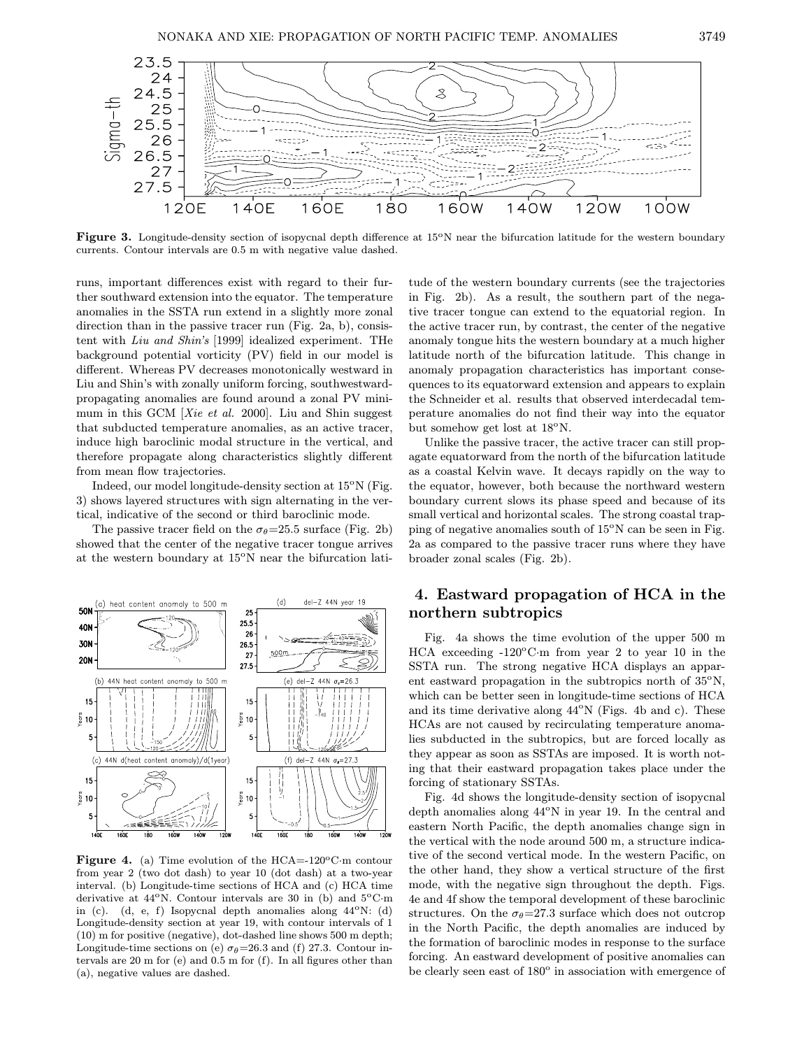

Figure 3. Longitude-density section of isopycnal depth difference at  $15^{\circ}$ N near the bifurcation latitude for the western boundary currents. Contour intervals are 0.5 m with negative value dashed.

runs, important differences exist with regard to their further southward extension into the equator. The temperature anomalies in the SSTA run extend in a slightly more zonal direction than in the passive tracer run (Fig. 2a, b), consistent with Liu and Shin's [1999] idealized experiment. THe background potential vorticity (PV) field in our model is different. Whereas PV decreases monotonically westward in Liu and Shin's with zonally uniform forcing, southwestwardpropagating anomalies are found around a zonal PV minimum in this GCM [Xie et al. 2000]. Liu and Shin suggest that subducted temperature anomalies, as an active tracer, induce high baroclinic modal structure in the vertical, and therefore propagate along characteristics slightly different from mean flow trajectories.

Indeed, our model longitude-density section at  $15^{\circ}$ N (Fig. 3) shows layered structures with sign alternating in the vertical, indicative of the second or third baroclinic mode.

The passive tracer field on the  $\sigma_{\theta}$ =25.5 surface (Fig. 2b) showed that the center of the negative tracer tongue arrives at the western boundary at  $15^{\circ}$ N near the bifurcation lati-



Figure 4. (a) Time evolution of the HCA=-120 $\rm ^oC\cdot m$  contour from year 2 (two dot dash) to year 10 (dot dash) at a two-year interval. (b) Longitude-time sections of HCA and (c) HCA time derivative at  $44^{\circ}$ N. Contour intervals are 30 in (b) and  $5^{\circ}$ C·m in (c). (d, e, f) Isopycnal depth anomalies along 44oN: (d) Longitude-density section at year 19, with contour intervals of 1 (10) m for positive (negative), dot-dashed line shows 500 m depth; Longitude-time sections on (e)  $\sigma_{\theta}$ =26.3 and (f) 27.3. Contour intervals are 20 m for (e) and 0.5 m for (f). In all figures other than (a), negative values are dashed.

tude of the western boundary currents (see the trajectories in Fig. 2b). As a result, the southern part of the negative tracer tongue can extend to the equatorial region. In the active tracer run, by contrast, the center of the negative anomaly tongue hits the western boundary at a much higher latitude north of the bifurcation latitude. This change in anomaly propagation characteristics has important consequences to its equatorward extension and appears to explain the Schneider et al. results that observed interdecadal temperature anomalies do not find their way into the equator but somehow get lost at  $18^{\circ}$ N.

Unlike the passive tracer, the active tracer can still propagate equatorward from the north of the bifurcation latitude as a coastal Kelvin wave. It decays rapidly on the way to the equator, however, both because the northward western boundary current slows its phase speed and because of its small vertical and horizontal scales. The strong coastal trapping of negative anomalies south of  $15^{\circ}$ N can be seen in Fig. 2a as compared to the passive tracer runs where they have broader zonal scales (Fig. 2b).

## 4. Eastward propagation of HCA in the northern subtropics

Fig. 4a shows the time evolution of the upper 500 m HCA exceeding  $-120^{\circ}$ C·m from year 2 to year 10 in the SSTA run. The strong negative HCA displays an apparent eastward propagation in the subtropics north of  $35^{\circ}$ N, which can be better seen in longitude-time sections of HCA and its time derivative along  $44^{\circ}$ N (Figs. 4b and c). These HCAs are not caused by recirculating temperature anomalies subducted in the subtropics, but are forced locally as they appear as soon as SSTAs are imposed. It is worth noting that their eastward propagation takes place under the forcing of stationary SSTAs.

Fig. 4d shows the longitude-density section of isopycnal depth anomalies along  $44^{\circ}$ N in year 19. In the central and eastern North Pacific, the depth anomalies change sign in the vertical with the node around 500 m, a structure indicative of the second vertical mode. In the western Pacific, on the other hand, they show a vertical structure of the first mode, with the negative sign throughout the depth. Figs. 4e and 4f show the temporal development of these baroclinic structures. On the  $\sigma_{\theta}$ =27.3 surface which does not outcrop in the North Pacific, the depth anomalies are induced by the formation of baroclinic modes in response to the surface forcing. An eastward development of positive anomalies can be clearly seen east of  $180^\circ$  in association with emergence of